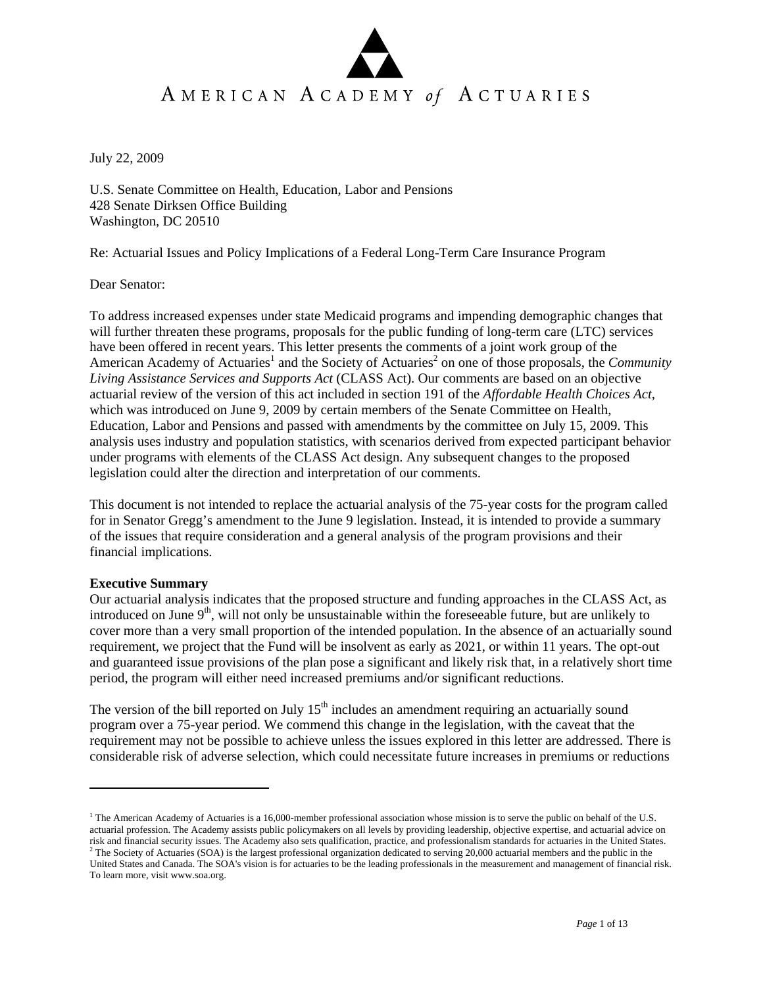# AMERICAN ACADEMY of ACTUARIES

July 22, 2009

U.S. Senate Committee on Health, Education, Labor and Pensions 428 Senate Dirksen Office Building Washington, DC 20510

Re: Actuarial Issues and Policy Implications of a Federal Long-Term Care Insurance Program

Dear Senator:

To address increased expenses under state Medicaid programs and impending demographic changes that will further threaten these programs, proposals for the public funding of long-term care (LTC) services have been offered in recent years. This letter presents the comments of a joint work group of the American Academy of Actuaries<sup>1</sup> and the Society of Actuaries<sup>2</sup> on one of those proposals, the *Community Living Assistance Services and Supports Act* (CLASS Act). Our comments are based on an objective actuarial review of the version of this act included in section 191 of the *Affordable Health Choices Act*, which was introduced on June 9, 2009 by certain members of the Senate Committee on Health, Education, Labor and Pensions and passed with amendments by the committee on July 15, 2009. This analysis uses industry and population statistics, with scenarios derived from expected participant behavior under programs with elements of the CLASS Act design. Any subsequent changes to the proposed legislation could alter the direction and interpretation of our comments.

This document is not intended to replace the actuarial analysis of the 75-year costs for the program called for in Senator Gregg's amendment to the June 9 legislation. Instead, it is intended to provide a summary of the issues that require consideration and a general analysis of the program provisions and their financial implications.

# **Executive Summary**

 $\overline{a}$ 

Our actuarial analysis indicates that the proposed structure and funding approaches in the CLASS Act, as introduced on June  $9<sup>th</sup>$ , will not only be unsustainable within the foreseeable future, but are unlikely to cover more than a very small proportion of the intended population. In the absence of an actuarially sound requirement, we project that the Fund will be insolvent as early as 2021, or within 11 years. The opt-out and guaranteed issue provisions of the plan pose a significant and likely risk that, in a relatively short time period, the program will either need increased premiums and/or significant reductions.

The version of the bill reported on July  $15<sup>th</sup>$  includes an amendment requiring an actuarially sound program over a 75-year period. We commend this change in the legislation, with the caveat that the requirement may not be possible to achieve unless the issues explored in this letter are addressed. There is considerable risk of adverse selection, which could necessitate future increases in premiums or reductions

<sup>&</sup>lt;sup>1</sup> The American Academy of Actuaries is a 16,000-member professional association whose mission is to serve the public on behalf of the U.S. actuarial profession. The Academy assists public policymakers on all levels by providing leadership, objective expertise, and actuarial advice on risk and financial security issues. The Academy also sets qualification, practice, and professionalism standards for actuaries in the United States. 2

 $2$  The Society of Actuaries (SOA) is the largest professional organization dedicated to serving 20,000 actuarial members and the public in the United States and Canada. The SOA's vision is for actuaries to be the leading professionals in the measurement and management of financial risk. To learn more, visit www.soa.org.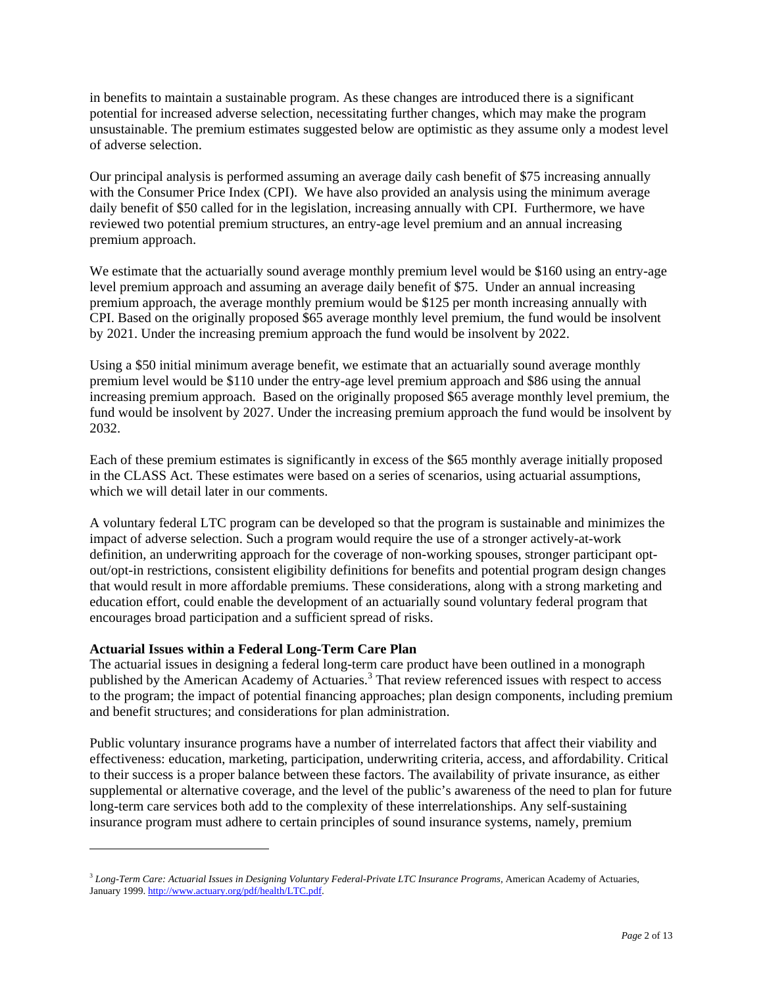in benefits to maintain a sustainable program. As these changes are introduced there is a significant potential for increased adverse selection, necessitating further changes, which may make the program unsustainable. The premium estimates suggested below are optimistic as they assume only a modest level of adverse selection.

Our principal analysis is performed assuming an average daily cash benefit of \$75 increasing annually with the Consumer Price Index (CPI). We have also provided an analysis using the minimum average daily benefit of \$50 called for in the legislation, increasing annually with CPI. Furthermore, we have reviewed two potential premium structures, an entry-age level premium and an annual increasing premium approach.

We estimate that the actuarially sound average monthly premium level would be \$160 using an entry-age level premium approach and assuming an average daily benefit of \$75. Under an annual increasing premium approach, the average monthly premium would be \$125 per month increasing annually with CPI. Based on the originally proposed \$65 average monthly level premium, the fund would be insolvent by 2021. Under the increasing premium approach the fund would be insolvent by 2022.

Using a \$50 initial minimum average benefit, we estimate that an actuarially sound average monthly premium level would be \$110 under the entry-age level premium approach and \$86 using the annual increasing premium approach. Based on the originally proposed \$65 average monthly level premium, the fund would be insolvent by 2027. Under the increasing premium approach the fund would be insolvent by 2032.

Each of these premium estimates is significantly in excess of the \$65 monthly average initially proposed in the CLASS Act. These estimates were based on a series of scenarios, using actuarial assumptions, which we will detail later in our comments.

A voluntary federal LTC program can be developed so that the program is sustainable and minimizes the impact of adverse selection. Such a program would require the use of a stronger actively-at-work definition, an underwriting approach for the coverage of non-working spouses, stronger participant optout/opt-in restrictions, consistent eligibility definitions for benefits and potential program design changes that would result in more affordable premiums. These considerations, along with a strong marketing and education effort, could enable the development of an actuarially sound voluntary federal program that encourages broad participation and a sufficient spread of risks.

# **Actuarial Issues within a Federal Long-Term Care Plan**

 $\overline{a}$ 

The actuarial issues in designing a federal long-term care product have been outlined in a monograph published by the American Academy of Actuaries.<sup>3</sup> That review referenced issues with respect to access to the program; the impact of potential financing approaches; plan design components, including premium and benefit structures; and considerations for plan administration.

Public voluntary insurance programs have a number of interrelated factors that affect their viability and effectiveness: education, marketing, participation, underwriting criteria, access, and affordability. Critical to their success is a proper balance between these factors. The availability of private insurance, as either supplemental or alternative coverage, and the level of the public's awareness of the need to plan for future long-term care services both add to the complexity of these interrelationships. Any self-sustaining insurance program must adhere to certain principles of sound insurance systems, namely, premium

<sup>&</sup>lt;sup>3</sup> Long-Term Care: Actuarial Issues in Designing Voluntary Federal-Private LTC Insurance Programs, American Academy of Actuaries, January 1999. http://www.actuary.org/pdf/health/LTC.pdf.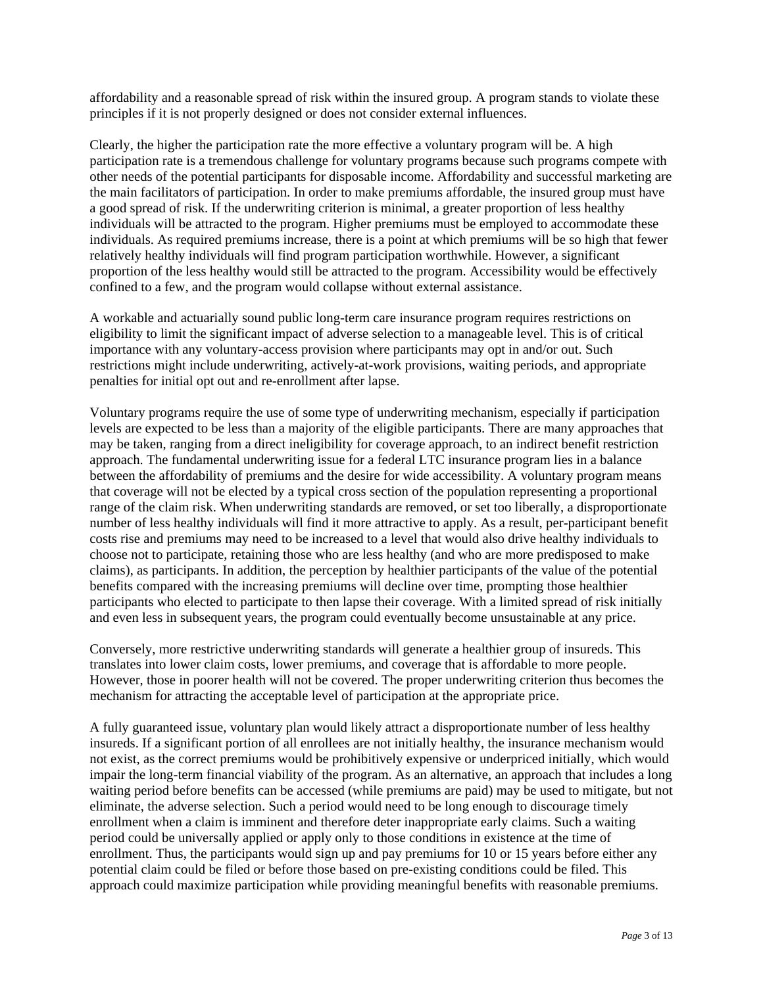affordability and a reasonable spread of risk within the insured group. A program stands to violate these principles if it is not properly designed or does not consider external influences.

Clearly, the higher the participation rate the more effective a voluntary program will be. A high participation rate is a tremendous challenge for voluntary programs because such programs compete with other needs of the potential participants for disposable income. Affordability and successful marketing are the main facilitators of participation. In order to make premiums affordable, the insured group must have a good spread of risk. If the underwriting criterion is minimal, a greater proportion of less healthy individuals will be attracted to the program. Higher premiums must be employed to accommodate these individuals. As required premiums increase, there is a point at which premiums will be so high that fewer relatively healthy individuals will find program participation worthwhile. However, a significant proportion of the less healthy would still be attracted to the program. Accessibility would be effectively confined to a few, and the program would collapse without external assistance.

A workable and actuarially sound public long-term care insurance program requires restrictions on eligibility to limit the significant impact of adverse selection to a manageable level. This is of critical importance with any voluntary-access provision where participants may opt in and/or out. Such restrictions might include underwriting, actively-at-work provisions, waiting periods, and appropriate penalties for initial opt out and re-enrollment after lapse.

Voluntary programs require the use of some type of underwriting mechanism, especially if participation levels are expected to be less than a majority of the eligible participants. There are many approaches that may be taken, ranging from a direct ineligibility for coverage approach, to an indirect benefit restriction approach. The fundamental underwriting issue for a federal LTC insurance program lies in a balance between the affordability of premiums and the desire for wide accessibility. A voluntary program means that coverage will not be elected by a typical cross section of the population representing a proportional range of the claim risk. When underwriting standards are removed, or set too liberally, a disproportionate number of less healthy individuals will find it more attractive to apply. As a result, per-participant benefit costs rise and premiums may need to be increased to a level that would also drive healthy individuals to choose not to participate, retaining those who are less healthy (and who are more predisposed to make claims), as participants. In addition, the perception by healthier participants of the value of the potential benefits compared with the increasing premiums will decline over time, prompting those healthier participants who elected to participate to then lapse their coverage. With a limited spread of risk initially and even less in subsequent years, the program could eventually become unsustainable at any price.

Conversely, more restrictive underwriting standards will generate a healthier group of insureds. This translates into lower claim costs, lower premiums, and coverage that is affordable to more people. However, those in poorer health will not be covered. The proper underwriting criterion thus becomes the mechanism for attracting the acceptable level of participation at the appropriate price.

A fully guaranteed issue, voluntary plan would likely attract a disproportionate number of less healthy insureds. If a significant portion of all enrollees are not initially healthy, the insurance mechanism would not exist, as the correct premiums would be prohibitively expensive or underpriced initially, which would impair the long-term financial viability of the program. As an alternative, an approach that includes a long waiting period before benefits can be accessed (while premiums are paid) may be used to mitigate, but not eliminate, the adverse selection. Such a period would need to be long enough to discourage timely enrollment when a claim is imminent and therefore deter inappropriate early claims. Such a waiting period could be universally applied or apply only to those conditions in existence at the time of enrollment. Thus, the participants would sign up and pay premiums for 10 or 15 years before either any potential claim could be filed or before those based on pre-existing conditions could be filed. This approach could maximize participation while providing meaningful benefits with reasonable premiums.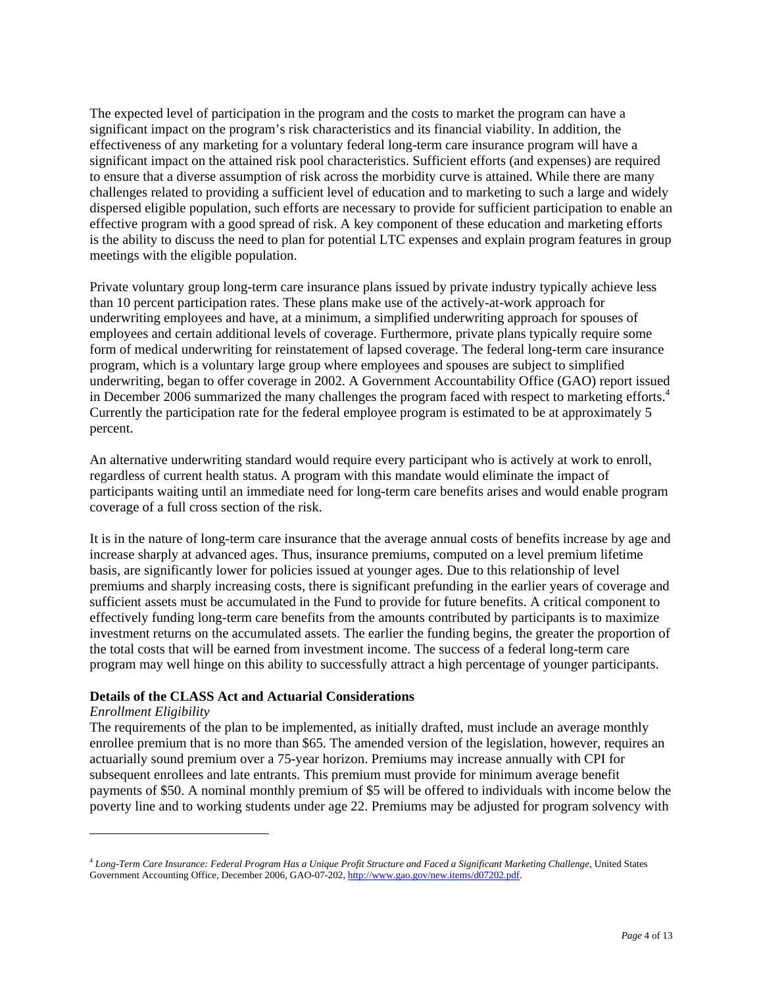The expected level of participation in the program and the costs to market the program can have a significant impact on the program's risk characteristics and its financial viability. In addition, the effectiveness of any marketing for a voluntary federal long-term care insurance program will have a significant impact on the attained risk pool characteristics. Sufficient efforts (and expenses) are required to ensure that a diverse assumption of risk across the morbidity curve is attained. While there are many challenges related to providing a sufficient level of education and to marketing to such a large and widely dispersed eligible population, such efforts are necessary to provide for sufficient participation to enable an effective program with a good spread of risk. A key component of these education and marketing efforts is the ability to discuss the need to plan for potential LTC expenses and explain program features in group meetings with the eligible population.

Private voluntary group long-term care insurance plans issued by private industry typically achieve less than 10 percent participation rates. These plans make use of the actively-at-work approach for underwriting employees and have, at a minimum, a simplified underwriting approach for spouses of employees and certain additional levels of coverage. Furthermore, private plans typically require some form of medical underwriting for reinstatement of lapsed coverage. The federal long-term care insurance program, which is a voluntary large group where employees and spouses are subject to simplified underwriting, began to offer coverage in 2002. A Government Accountability Office (GAO) report issued in December 2006 summarized the many challenges the program faced with respect to marketing efforts.<sup>4</sup> Currently the participation rate for the federal employee program is estimated to be at approximately 5 percent.

An alternative underwriting standard would require every participant who is actively at work to enroll, regardless of current health status. A program with this mandate would eliminate the impact of participants waiting until an immediate need for long-term care benefits arises and would enable program coverage of a full cross section of the risk.

It is in the nature of long-term care insurance that the average annual costs of benefits increase by age and increase sharply at advanced ages. Thus, insurance premiums, computed on a level premium lifetime basis, are significantly lower for policies issued at younger ages. Due to this relationship of level premiums and sharply increasing costs, there is significant prefunding in the earlier years of coverage and sufficient assets must be accumulated in the Fund to provide for future benefits. A critical component to effectively funding long-term care benefits from the amounts contributed by participants is to maximize investment returns on the accumulated assets. The earlier the funding begins, the greater the proportion of the total costs that will be earned from investment income. The success of a federal long-term care program may well hinge on this ability to successfully attract a high percentage of younger participants.

# **Details of the CLASS Act and Actuarial Considerations**

# *Enrollment Eligibility*

 $\overline{a}$ 

The requirements of the plan to be implemented, as initially drafted, must include an average monthly enrollee premium that is no more than \$65. The amended version of the legislation, however, requires an actuarially sound premium over a 75-year horizon. Premiums may increase annually with CPI for subsequent enrollees and late entrants. This premium must provide for minimum average benefit payments of \$50. A nominal monthly premium of \$5 will be offered to individuals with income below the poverty line and to working students under age 22. Premiums may be adjusted for program solvency with

<sup>4</sup> *Long-Term Care Insurance: Federal Program Has a Unique Profit Structure and Faced a Significant Marketing Challenge*, United States Government Accounting Office, December 2006, GAO-07-202, http://www.gao.gov/new.items/d07202.pdf.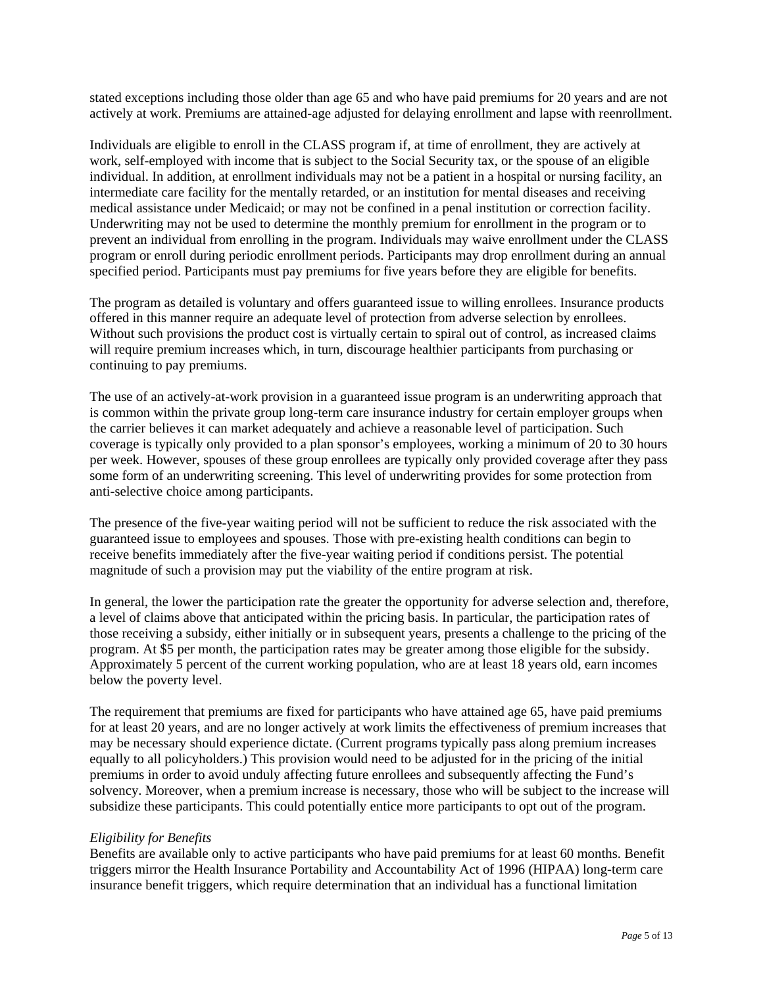stated exceptions including those older than age 65 and who have paid premiums for 20 years and are not actively at work. Premiums are attained-age adjusted for delaying enrollment and lapse with reenrollment.

Individuals are eligible to enroll in the CLASS program if, at time of enrollment, they are actively at work, self-employed with income that is subject to the Social Security tax, or the spouse of an eligible individual. In addition, at enrollment individuals may not be a patient in a hospital or nursing facility, an intermediate care facility for the mentally retarded, or an institution for mental diseases and receiving medical assistance under Medicaid; or may not be confined in a penal institution or correction facility. Underwriting may not be used to determine the monthly premium for enrollment in the program or to prevent an individual from enrolling in the program. Individuals may waive enrollment under the CLASS program or enroll during periodic enrollment periods. Participants may drop enrollment during an annual specified period. Participants must pay premiums for five years before they are eligible for benefits.

The program as detailed is voluntary and offers guaranteed issue to willing enrollees. Insurance products offered in this manner require an adequate level of protection from adverse selection by enrollees. Without such provisions the product cost is virtually certain to spiral out of control, as increased claims will require premium increases which, in turn, discourage healthier participants from purchasing or continuing to pay premiums.

The use of an actively-at-work provision in a guaranteed issue program is an underwriting approach that is common within the private group long-term care insurance industry for certain employer groups when the carrier believes it can market adequately and achieve a reasonable level of participation. Such coverage is typically only provided to a plan sponsor's employees, working a minimum of 20 to 30 hours per week. However, spouses of these group enrollees are typically only provided coverage after they pass some form of an underwriting screening. This level of underwriting provides for some protection from anti-selective choice among participants.

The presence of the five-year waiting period will not be sufficient to reduce the risk associated with the guaranteed issue to employees and spouses. Those with pre-existing health conditions can begin to receive benefits immediately after the five-year waiting period if conditions persist. The potential magnitude of such a provision may put the viability of the entire program at risk.

In general, the lower the participation rate the greater the opportunity for adverse selection and, therefore, a level of claims above that anticipated within the pricing basis. In particular, the participation rates of those receiving a subsidy, either initially or in subsequent years, presents a challenge to the pricing of the program. At \$5 per month, the participation rates may be greater among those eligible for the subsidy. Approximately 5 percent of the current working population, who are at least 18 years old, earn incomes below the poverty level.

The requirement that premiums are fixed for participants who have attained age 65, have paid premiums for at least 20 years, and are no longer actively at work limits the effectiveness of premium increases that may be necessary should experience dictate. (Current programs typically pass along premium increases equally to all policyholders.) This provision would need to be adjusted for in the pricing of the initial premiums in order to avoid unduly affecting future enrollees and subsequently affecting the Fund's solvency. Moreover, when a premium increase is necessary, those who will be subject to the increase will subsidize these participants. This could potentially entice more participants to opt out of the program.

# *Eligibility for Benefits*

Benefits are available only to active participants who have paid premiums for at least 60 months. Benefit triggers mirror the Health Insurance Portability and Accountability Act of 1996 (HIPAA) long-term care insurance benefit triggers, which require determination that an individual has a functional limitation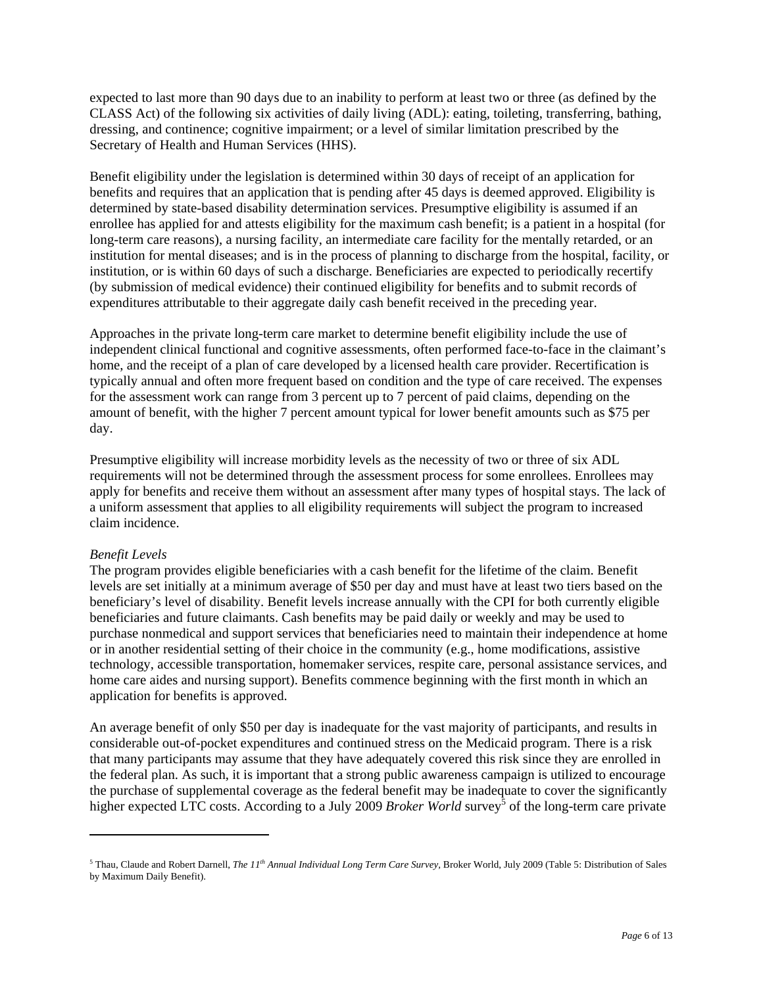expected to last more than 90 days due to an inability to perform at least two or three (as defined by the CLASS Act) of the following six activities of daily living (ADL): eating, toileting, transferring, bathing, dressing, and continence; cognitive impairment; or a level of similar limitation prescribed by the Secretary of Health and Human Services (HHS).

Benefit eligibility under the legislation is determined within 30 days of receipt of an application for benefits and requires that an application that is pending after 45 days is deemed approved. Eligibility is determined by state-based disability determination services. Presumptive eligibility is assumed if an enrollee has applied for and attests eligibility for the maximum cash benefit; is a patient in a hospital (for long-term care reasons), a nursing facility, an intermediate care facility for the mentally retarded, or an institution for mental diseases; and is in the process of planning to discharge from the hospital, facility, or institution, or is within 60 days of such a discharge. Beneficiaries are expected to periodically recertify (by submission of medical evidence) their continued eligibility for benefits and to submit records of expenditures attributable to their aggregate daily cash benefit received in the preceding year.

Approaches in the private long-term care market to determine benefit eligibility include the use of independent clinical functional and cognitive assessments, often performed face-to-face in the claimant's home, and the receipt of a plan of care developed by a licensed health care provider. Recertification is typically annual and often more frequent based on condition and the type of care received. The expenses for the assessment work can range from 3 percent up to 7 percent of paid claims, depending on the amount of benefit, with the higher 7 percent amount typical for lower benefit amounts such as \$75 per day.

Presumptive eligibility will increase morbidity levels as the necessity of two or three of six ADL requirements will not be determined through the assessment process for some enrollees. Enrollees may apply for benefits and receive them without an assessment after many types of hospital stays. The lack of a uniform assessment that applies to all eligibility requirements will subject the program to increased claim incidence.

# *Benefit Levels*

 $\overline{a}$ 

The program provides eligible beneficiaries with a cash benefit for the lifetime of the claim. Benefit levels are set initially at a minimum average of \$50 per day and must have at least two tiers based on the beneficiary's level of disability. Benefit levels increase annually with the CPI for both currently eligible beneficiaries and future claimants. Cash benefits may be paid daily or weekly and may be used to purchase nonmedical and support services that beneficiaries need to maintain their independence at home or in another residential setting of their choice in the community (e.g., home modifications, assistive technology, accessible transportation, homemaker services, respite care, personal assistance services, and home care aides and nursing support). Benefits commence beginning with the first month in which an application for benefits is approved.

An average benefit of only \$50 per day is inadequate for the vast majority of participants, and results in considerable out-of-pocket expenditures and continued stress on the Medicaid program. There is a risk that many participants may assume that they have adequately covered this risk since they are enrolled in the federal plan. As such, it is important that a strong public awareness campaign is utilized to encourage the purchase of supplemental coverage as the federal benefit may be inadequate to cover the significantly higher expected LTC costs. According to a July 2009 *Broker World* survey<sup>5</sup> of the long-term care private

<sup>5</sup> Thau, Claude and Robert Darnell, *The 11th Annual Individual Long Term Care Survey,* Broker World, July 2009 (Table 5: Distribution of Sales by Maximum Daily Benefit).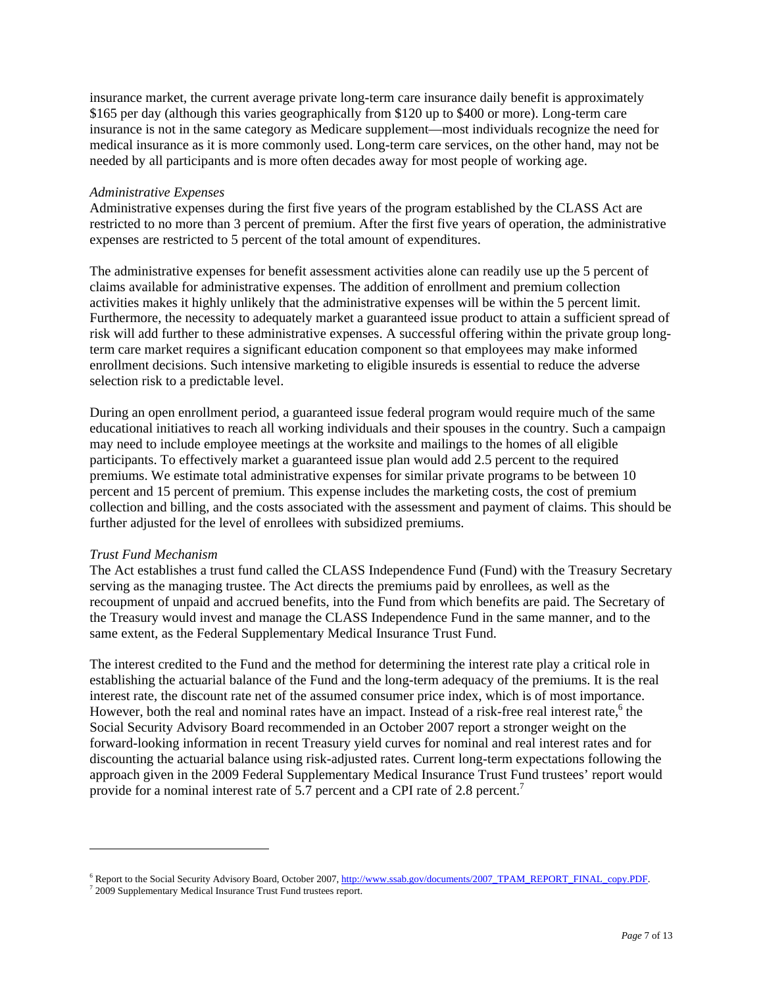insurance market, the current average private long-term care insurance daily benefit is approximately \$165 per day (although this varies geographically from \$120 up to \$400 or more). Long-term care insurance is not in the same category as Medicare supplement—most individuals recognize the need for medical insurance as it is more commonly used. Long-term care services, on the other hand, may not be needed by all participants and is more often decades away for most people of working age.

### *Administrative Expenses*

Administrative expenses during the first five years of the program established by the CLASS Act are restricted to no more than 3 percent of premium. After the first five years of operation, the administrative expenses are restricted to 5 percent of the total amount of expenditures.

The administrative expenses for benefit assessment activities alone can readily use up the 5 percent of claims available for administrative expenses. The addition of enrollment and premium collection activities makes it highly unlikely that the administrative expenses will be within the 5 percent limit. Furthermore, the necessity to adequately market a guaranteed issue product to attain a sufficient spread of risk will add further to these administrative expenses. A successful offering within the private group longterm care market requires a significant education component so that employees may make informed enrollment decisions. Such intensive marketing to eligible insureds is essential to reduce the adverse selection risk to a predictable level.

During an open enrollment period, a guaranteed issue federal program would require much of the same educational initiatives to reach all working individuals and their spouses in the country. Such a campaign may need to include employee meetings at the worksite and mailings to the homes of all eligible participants. To effectively market a guaranteed issue plan would add 2.5 percent to the required premiums. We estimate total administrative expenses for similar private programs to be between 10 percent and 15 percent of premium. This expense includes the marketing costs, the cost of premium collection and billing, and the costs associated with the assessment and payment of claims. This should be further adjusted for the level of enrollees with subsidized premiums.

## *Trust Fund Mechanism*

 $\overline{a}$ 

The Act establishes a trust fund called the CLASS Independence Fund (Fund) with the Treasury Secretary serving as the managing trustee. The Act directs the premiums paid by enrollees, as well as the recoupment of unpaid and accrued benefits, into the Fund from which benefits are paid. The Secretary of the Treasury would invest and manage the CLASS Independence Fund in the same manner, and to the same extent, as the Federal Supplementary Medical Insurance Trust Fund.

The interest credited to the Fund and the method for determining the interest rate play a critical role in establishing the actuarial balance of the Fund and the long-term adequacy of the premiums. It is the real interest rate, the discount rate net of the assumed consumer price index, which is of most importance. However, both the real and nominal rates have an impact. Instead of a risk-free real interest rate,<sup>6</sup> the Social Security Advisory Board recommended in an October 2007 report a stronger weight on the forward-looking information in recent Treasury yield curves for nominal and real interest rates and for discounting the actuarial balance using risk-adjusted rates. Current long-term expectations following the approach given in the 2009 Federal Supplementary Medical Insurance Trust Fund trustees' report would provide for a nominal interest rate of 5.7 percent and a CPI rate of 2.8 percent.<sup>7</sup>

<sup>&</sup>lt;sup>6</sup> Report to the Social Security Advisory Board, October 2007, http://www.ssab.gov/documents/2007\_TPAM\_REPORT\_FINAL\_copy.PDF.

<sup>&</sup>lt;sup>7</sup> 2009 Supplementary Medical Insurance Trust Fund trustees report.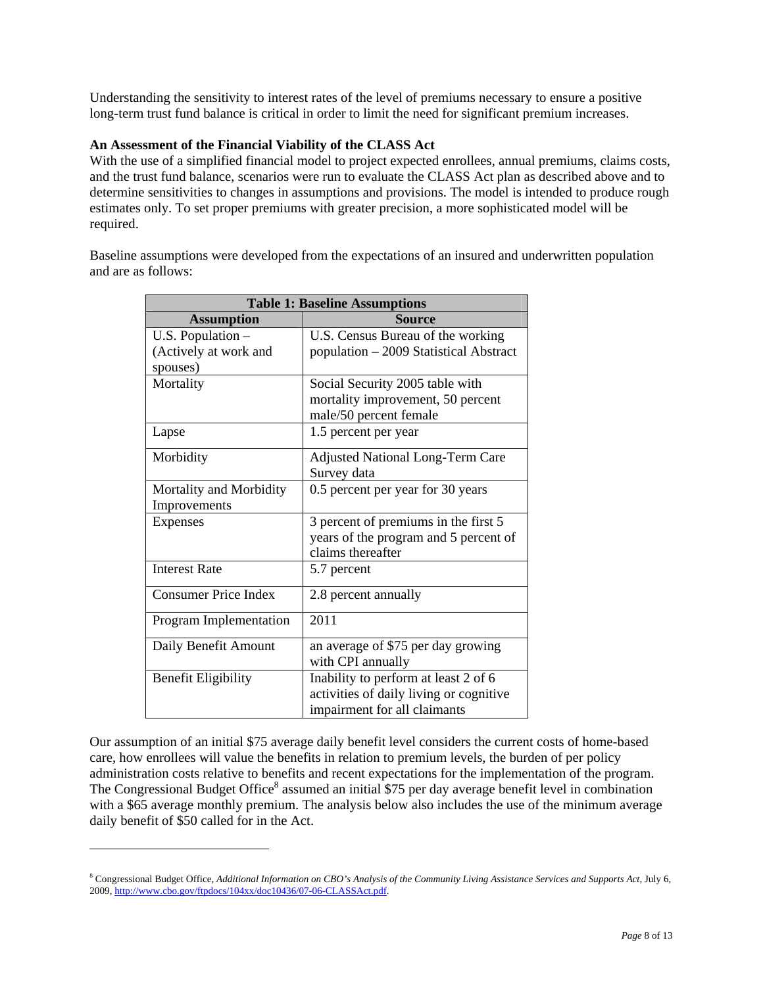Understanding the sensitivity to interest rates of the level of premiums necessary to ensure a positive long-term trust fund balance is critical in order to limit the need for significant premium increases.

# **An Assessment of the Financial Viability of the CLASS Act**

With the use of a simplified financial model to project expected enrollees, annual premiums, claims costs, and the trust fund balance, scenarios were run to evaluate the CLASS Act plan as described above and to determine sensitivities to changes in assumptions and provisions. The model is intended to produce rough estimates only. To set proper premiums with greater precision, a more sophisticated model will be required.

Baseline assumptions were developed from the expectations of an insured and underwritten population and are as follows:

| <b>Table 1: Baseline Assumptions</b> |                                         |  |  |
|--------------------------------------|-----------------------------------------|--|--|
| <b>Assumption</b>                    | <b>Source</b>                           |  |  |
| U.S. Population $-$                  | U.S. Census Bureau of the working       |  |  |
| (Actively at work and                | population - 2009 Statistical Abstract  |  |  |
| spouses)                             |                                         |  |  |
| Mortality                            | Social Security 2005 table with         |  |  |
|                                      | mortality improvement, 50 percent       |  |  |
|                                      | male/50 percent female                  |  |  |
| Lapse                                | 1.5 percent per year                    |  |  |
| Morbidity                            | <b>Adjusted National Long-Term Care</b> |  |  |
|                                      | Survey data                             |  |  |
| Mortality and Morbidity              | 0.5 percent per year for 30 years       |  |  |
| Improvements                         |                                         |  |  |
| <b>Expenses</b>                      | 3 percent of premiums in the first 5    |  |  |
|                                      | years of the program and 5 percent of   |  |  |
|                                      | claims thereafter                       |  |  |
| <b>Interest Rate</b>                 | 5.7 percent                             |  |  |
| <b>Consumer Price Index</b>          | 2.8 percent annually                    |  |  |
| Program Implementation               | 2011                                    |  |  |
| Daily Benefit Amount                 | an average of \$75 per day growing      |  |  |
|                                      | with CPI annually                       |  |  |
| <b>Benefit Eligibility</b>           | Inability to perform at least 2 of 6    |  |  |
|                                      | activities of daily living or cognitive |  |  |
|                                      | impairment for all claimants            |  |  |

Our assumption of an initial \$75 average daily benefit level considers the current costs of home-based care, how enrollees will value the benefits in relation to premium levels, the burden of per policy administration costs relative to benefits and recent expectations for the implementation of the program. The Congressional Budget Office<sup>8</sup> assumed an initial \$75 per day average benefit level in combination with a \$65 average monthly premium. The analysis below also includes the use of the minimum average daily benefit of \$50 called for in the Act.

 $\overline{a}$ 

<sup>&</sup>lt;sup>8</sup> Congressional Budget Office, *Additional Information on CBO's Analysis of the Community Living Assistance Services and Supports Act, July 6,* 2009, http://www.cbo.gov/ftpdocs/104xx/doc10436/07-06-CLASSAct.pdf.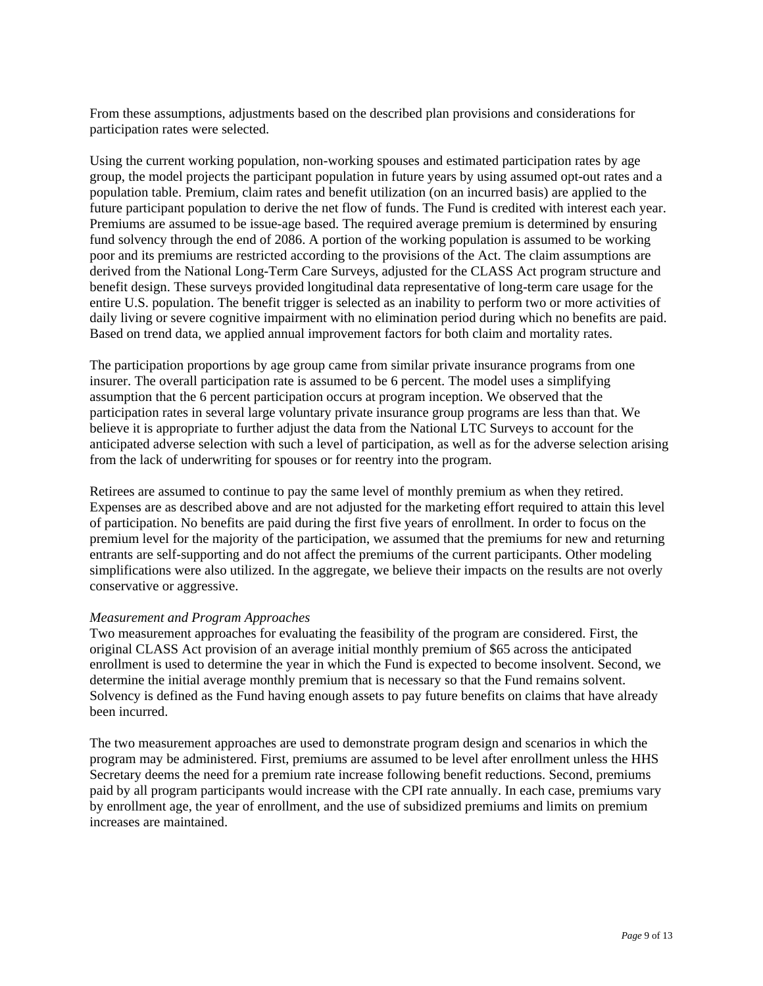From these assumptions, adjustments based on the described plan provisions and considerations for participation rates were selected.

Using the current working population, non-working spouses and estimated participation rates by age group, the model projects the participant population in future years by using assumed opt-out rates and a population table. Premium, claim rates and benefit utilization (on an incurred basis) are applied to the future participant population to derive the net flow of funds. The Fund is credited with interest each year. Premiums are assumed to be issue-age based. The required average premium is determined by ensuring fund solvency through the end of 2086. A portion of the working population is assumed to be working poor and its premiums are restricted according to the provisions of the Act. The claim assumptions are derived from the National Long-Term Care Surveys, adjusted for the CLASS Act program structure and benefit design. These surveys provided longitudinal data representative of long-term care usage for the entire U.S. population. The benefit trigger is selected as an inability to perform two or more activities of daily living or severe cognitive impairment with no elimination period during which no benefits are paid. Based on trend data, we applied annual improvement factors for both claim and mortality rates.

The participation proportions by age group came from similar private insurance programs from one insurer. The overall participation rate is assumed to be 6 percent. The model uses a simplifying assumption that the 6 percent participation occurs at program inception. We observed that the participation rates in several large voluntary private insurance group programs are less than that. We believe it is appropriate to further adjust the data from the National LTC Surveys to account for the anticipated adverse selection with such a level of participation, as well as for the adverse selection arising from the lack of underwriting for spouses or for reentry into the program.

Retirees are assumed to continue to pay the same level of monthly premium as when they retired. Expenses are as described above and are not adjusted for the marketing effort required to attain this level of participation. No benefits are paid during the first five years of enrollment. In order to focus on the premium level for the majority of the participation, we assumed that the premiums for new and returning entrants are self-supporting and do not affect the premiums of the current participants. Other modeling simplifications were also utilized. In the aggregate, we believe their impacts on the results are not overly conservative or aggressive.

## *Measurement and Program Approaches*

Two measurement approaches for evaluating the feasibility of the program are considered. First, the original CLASS Act provision of an average initial monthly premium of \$65 across the anticipated enrollment is used to determine the year in which the Fund is expected to become insolvent. Second, we determine the initial average monthly premium that is necessary so that the Fund remains solvent. Solvency is defined as the Fund having enough assets to pay future benefits on claims that have already been incurred.

The two measurement approaches are used to demonstrate program design and scenarios in which the program may be administered. First, premiums are assumed to be level after enrollment unless the HHS Secretary deems the need for a premium rate increase following benefit reductions. Second, premiums paid by all program participants would increase with the CPI rate annually. In each case, premiums vary by enrollment age, the year of enrollment, and the use of subsidized premiums and limits on premium increases are maintained.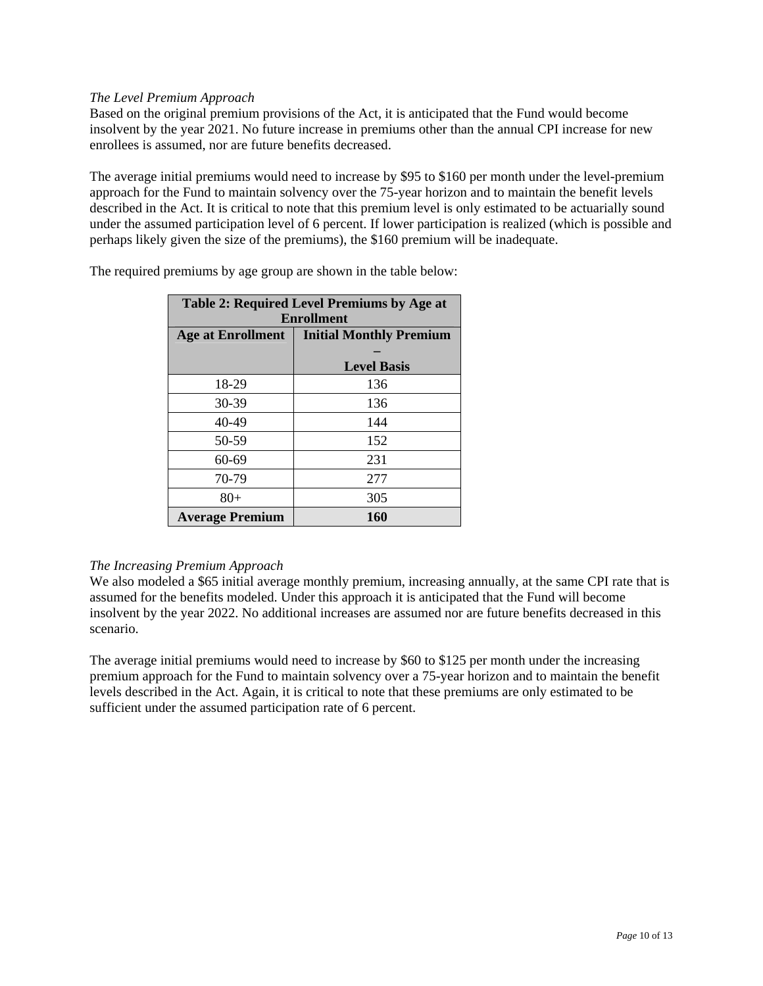# *The Level Premium Approach*

Based on the original premium provisions of the Act, it is anticipated that the Fund would become insolvent by the year 2021. No future increase in premiums other than the annual CPI increase for new enrollees is assumed, nor are future benefits decreased.

The average initial premiums would need to increase by \$95 to \$160 per month under the level-premium approach for the Fund to maintain solvency over the 75-year horizon and to maintain the benefit levels described in the Act. It is critical to note that this premium level is only estimated to be actuarially sound under the assumed participation level of 6 percent. If lower participation is realized (which is possible and perhaps likely given the size of the premiums), the \$160 premium will be inadequate.

| Table 2: Required Level Premiums by Age at |                                |  |
|--------------------------------------------|--------------------------------|--|
| <b>Enrollment</b>                          |                                |  |
| <b>Age at Enrollment</b>                   | <b>Initial Monthly Premium</b> |  |
|                                            |                                |  |
|                                            | <b>Level Basis</b>             |  |
| 18-29                                      | 136                            |  |
| $30 - 39$                                  | 136                            |  |
| 40-49                                      | 144                            |  |
| 50-59                                      | 152                            |  |
| $60 - 69$                                  | 231                            |  |
| 70-79                                      | 277                            |  |
| $80+$                                      | 305                            |  |
| <b>Average Premium</b>                     | 160                            |  |

The required premiums by age group are shown in the table below:

# *The Increasing Premium Approach*

We also modeled a \$65 initial average monthly premium, increasing annually, at the same CPI rate that is assumed for the benefits modeled. Under this approach it is anticipated that the Fund will become insolvent by the year 2022. No additional increases are assumed nor are future benefits decreased in this scenario.

The average initial premiums would need to increase by \$60 to \$125 per month under the increasing premium approach for the Fund to maintain solvency over a 75-year horizon and to maintain the benefit levels described in the Act. Again, it is critical to note that these premiums are only estimated to be sufficient under the assumed participation rate of 6 percent.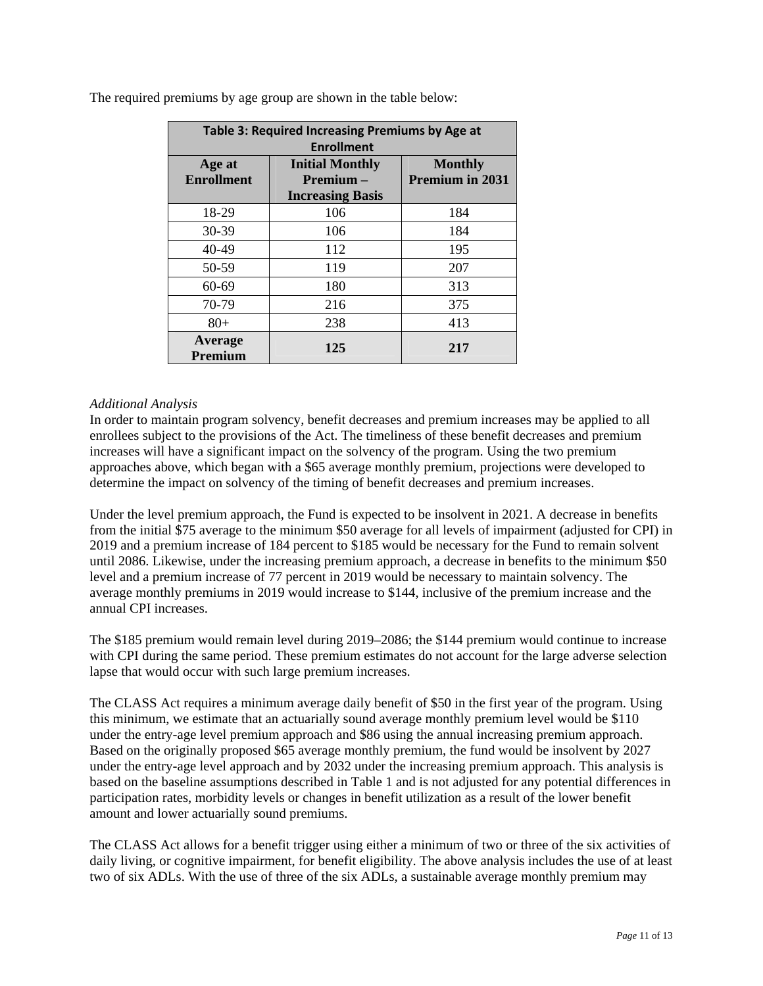| Table 3: Required Increasing Premiums by Age at<br><b>Enrollment</b> |                                                               |                                          |  |
|----------------------------------------------------------------------|---------------------------------------------------------------|------------------------------------------|--|
| Age at<br><b>Enrollment</b>                                          | <b>Initial Monthly</b><br>Premium-<br><b>Increasing Basis</b> | <b>Monthly</b><br><b>Premium in 2031</b> |  |
| 18-29                                                                | 106                                                           | 184                                      |  |
| 30-39                                                                | 106                                                           | 184                                      |  |
| 40-49                                                                | 112                                                           | 195                                      |  |
| 50-59                                                                | 119                                                           | 207                                      |  |
| 60-69                                                                | 180                                                           | 313                                      |  |
| 70-79                                                                | 216                                                           | 375                                      |  |
| $80 +$                                                               | 238                                                           | 413                                      |  |
| Average<br>Premium                                                   | 125                                                           | 217                                      |  |

The required premiums by age group are shown in the table below:

# *Additional Analysis*

In order to maintain program solvency, benefit decreases and premium increases may be applied to all enrollees subject to the provisions of the Act. The timeliness of these benefit decreases and premium increases will have a significant impact on the solvency of the program. Using the two premium approaches above, which began with a \$65 average monthly premium, projections were developed to determine the impact on solvency of the timing of benefit decreases and premium increases.

Under the level premium approach, the Fund is expected to be insolvent in 2021. A decrease in benefits from the initial \$75 average to the minimum \$50 average for all levels of impairment (adjusted for CPI) in 2019 and a premium increase of 184 percent to \$185 would be necessary for the Fund to remain solvent until 2086. Likewise, under the increasing premium approach, a decrease in benefits to the minimum \$50 level and a premium increase of 77 percent in 2019 would be necessary to maintain solvency. The average monthly premiums in 2019 would increase to \$144, inclusive of the premium increase and the annual CPI increases.

The \$185 premium would remain level during 2019–2086; the \$144 premium would continue to increase with CPI during the same period. These premium estimates do not account for the large adverse selection lapse that would occur with such large premium increases.

The CLASS Act requires a minimum average daily benefit of \$50 in the first year of the program. Using this minimum, we estimate that an actuarially sound average monthly premium level would be \$110 under the entry-age level premium approach and \$86 using the annual increasing premium approach. Based on the originally proposed \$65 average monthly premium, the fund would be insolvent by 2027 under the entry-age level approach and by 2032 under the increasing premium approach. This analysis is based on the baseline assumptions described in Table 1 and is not adjusted for any potential differences in participation rates, morbidity levels or changes in benefit utilization as a result of the lower benefit amount and lower actuarially sound premiums.

The CLASS Act allows for a benefit trigger using either a minimum of two or three of the six activities of daily living, or cognitive impairment, for benefit eligibility. The above analysis includes the use of at least two of six ADLs. With the use of three of the six ADLs, a sustainable average monthly premium may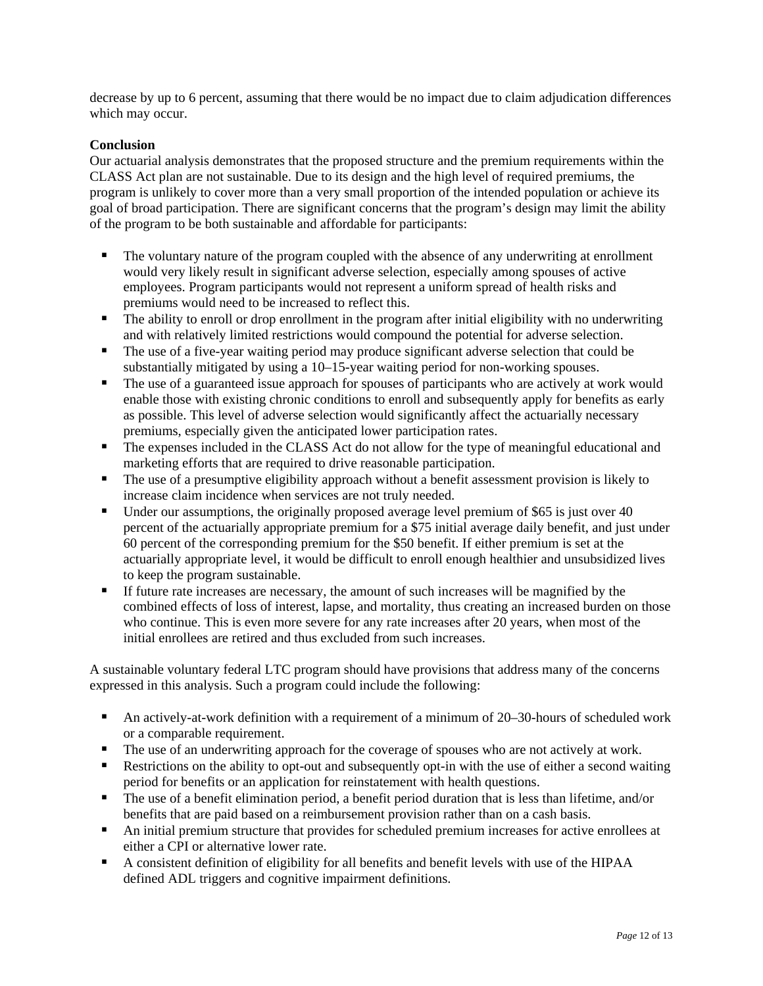decrease by up to 6 percent, assuming that there would be no impact due to claim adjudication differences which may occur.

# **Conclusion**

Our actuarial analysis demonstrates that the proposed structure and the premium requirements within the CLASS Act plan are not sustainable. Due to its design and the high level of required premiums, the program is unlikely to cover more than a very small proportion of the intended population or achieve its goal of broad participation. There are significant concerns that the program's design may limit the ability of the program to be both sustainable and affordable for participants:

- The voluntary nature of the program coupled with the absence of any underwriting at enrollment would very likely result in significant adverse selection, especially among spouses of active employees. Program participants would not represent a uniform spread of health risks and premiums would need to be increased to reflect this.
- The ability to enroll or drop enrollment in the program after initial eligibility with no underwriting and with relatively limited restrictions would compound the potential for adverse selection.
- The use of a five-year waiting period may produce significant adverse selection that could be substantially mitigated by using a 10–15-year waiting period for non-working spouses.
- The use of a guaranteed issue approach for spouses of participants who are actively at work would enable those with existing chronic conditions to enroll and subsequently apply for benefits as early as possible. This level of adverse selection would significantly affect the actuarially necessary premiums, especially given the anticipated lower participation rates.
- The expenses included in the CLASS Act do not allow for the type of meaningful educational and marketing efforts that are required to drive reasonable participation.
- The use of a presumptive eligibility approach without a benefit assessment provision is likely to increase claim incidence when services are not truly needed.
- Under our assumptions, the originally proposed average level premium of \$65 is just over 40 percent of the actuarially appropriate premium for a \$75 initial average daily benefit, and just under 60 percent of the corresponding premium for the \$50 benefit. If either premium is set at the actuarially appropriate level, it would be difficult to enroll enough healthier and unsubsidized lives to keep the program sustainable.
- If future rate increases are necessary, the amount of such increases will be magnified by the combined effects of loss of interest, lapse, and mortality, thus creating an increased burden on those who continue. This is even more severe for any rate increases after 20 years, when most of the initial enrollees are retired and thus excluded from such increases.

A sustainable voluntary federal LTC program should have provisions that address many of the concerns expressed in this analysis. Such a program could include the following:

- An actively-at-work definition with a requirement of a minimum of 20–30-hours of scheduled work or a comparable requirement.
- The use of an underwriting approach for the coverage of spouses who are not actively at work.
- Restrictions on the ability to opt-out and subsequently opt-in with the use of either a second waiting period for benefits or an application for reinstatement with health questions.
- The use of a benefit elimination period, a benefit period duration that is less than lifetime, and/or benefits that are paid based on a reimbursement provision rather than on a cash basis.
- An initial premium structure that provides for scheduled premium increases for active enrollees at either a CPI or alternative lower rate.
- A consistent definition of eligibility for all benefits and benefit levels with use of the HIPAA defined ADL triggers and cognitive impairment definitions.